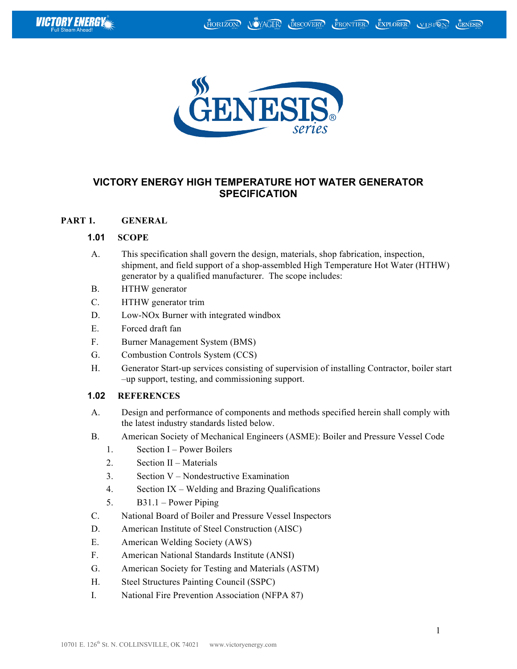



# **VICTORY ENERGY HIGH TEMPERATURE HOT WATER GENERATOR SPECIFICATION**

### **PART 1. GENERAL**

### **1.01 SCOPE**

- A. This specification shall govern the design, materials, shop fabrication, inspection, shipment, and field support of a shop-assembled High Temperature Hot Water (HTHW) generator by a qualified manufacturer. The scope includes:
- B. HTHW generator
- C. HTHW generator trim
- D. Low-NOx Burner with integrated windbox
- E. Forced draft fan
- F. Burner Management System (BMS)
- G. Combustion Controls System (CCS)
- H. Generator Start-up services consisting of supervision of installing Contractor, boiler start –up support, testing, and commissioning support.

# **1.02 REFERENCES**

- A. Design and performance of components and methods specified herein shall comply with the latest industry standards listed below.
- B. American Society of Mechanical Engineers (ASME): Boiler and Pressure Vessel Code
	- 1. Section I Power Boilers
	- 2. Section II Materials
	- 3. Section V Nondestructive Examination
	- 4. Section IX Welding and Brazing Qualifications
	- 5. B31.1 Power Piping
- C. National Board of Boiler and Pressure Vessel Inspectors
- D. American Institute of Steel Construction (AISC)
- E. American Welding Society (AWS)
- F. American National Standards Institute (ANSI)
- G. American Society for Testing and Materials (ASTM)
- H. Steel Structures Painting Council (SSPC)
- I. National Fire Prevention Association (NFPA 87)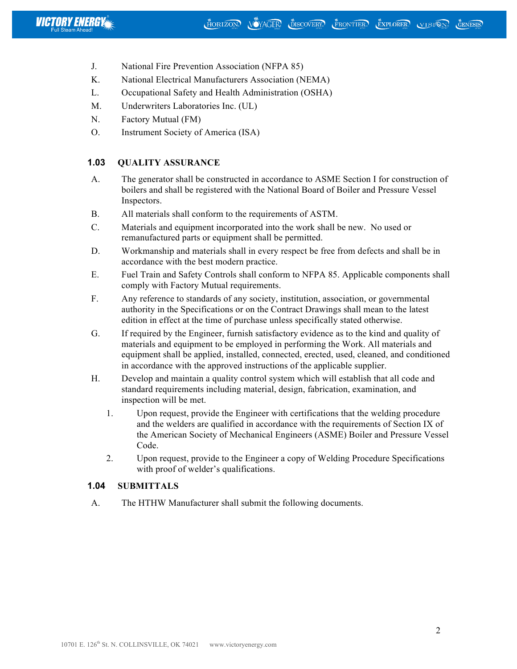

- J. National Fire Prevention Association (NFPA 85)
- K. National Electrical Manufacturers Association (NEMA)
- L. Occupational Safety and Health Administration (OSHA)
- M. Underwriters Laboratories Inc. (UL)
- N. Factory Mutual (FM)
- O. Instrument Society of America (ISA)

## **1.03 QUALITY ASSURANCE**

- A. The generator shall be constructed in accordance to ASME Section I for construction of boilers and shall be registered with the National Board of Boiler and Pressure Vessel Inspectors.
- B. All materials shall conform to the requirements of ASTM.
- C. Materials and equipment incorporated into the work shall be new. No used or remanufactured parts or equipment shall be permitted.
- D. Workmanship and materials shall in every respect be free from defects and shall be in accordance with the best modern practice.
- E. Fuel Train and Safety Controls shall conform to NFPA 85. Applicable components shall comply with Factory Mutual requirements.
- F. Any reference to standards of any society, institution, association, or governmental authority in the Specifications or on the Contract Drawings shall mean to the latest edition in effect at the time of purchase unless specifically stated otherwise.
- G. If required by the Engineer, furnish satisfactory evidence as to the kind and quality of materials and equipment to be employed in performing the Work. All materials and equipment shall be applied, installed, connected, erected, used, cleaned, and conditioned in accordance with the approved instructions of the applicable supplier.
- H. Develop and maintain a quality control system which will establish that all code and standard requirements including material, design, fabrication, examination, and inspection will be met.
	- 1. Upon request, provide the Engineer with certifications that the welding procedure and the welders are qualified in accordance with the requirements of Section IX of the American Society of Mechanical Engineers (ASME) Boiler and Pressure Vessel Code.
	- 2. Upon request, provide to the Engineer a copy of Welding Procedure Specifications with proof of welder's qualifications.

### **1.04 SUBMITTALS**

A. The HTHW Manufacturer shall submit the following documents.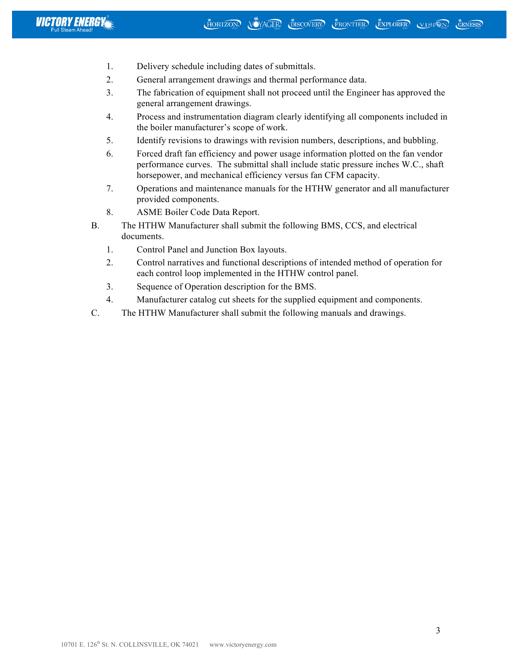- 1. Delivery schedule including dates of submittals.
- 2. General arrangement drawings and thermal performance data.
- 3. The fabrication of equipment shall not proceed until the Engineer has approved the general arrangement drawings.
- 4. Process and instrumentation diagram clearly identifying all components included in the boiler manufacturer's scope of work.
- 5. Identify revisions to drawings with revision numbers, descriptions, and bubbling.
- 6. Forced draft fan efficiency and power usage information plotted on the fan vendor performance curves. The submittal shall include static pressure inches W.C., shaft horsepower, and mechanical efficiency versus fan CFM capacity.
- 7. Operations and maintenance manuals for the HTHW generator and all manufacturer provided components.
- 8. ASME Boiler Code Data Report.
- B. The HTHW Manufacturer shall submit the following BMS, CCS, and electrical documents.
	- 1. Control Panel and Junction Box layouts.
	- 2. Control narratives and functional descriptions of intended method of operation for each control loop implemented in the HTHW control panel.
	- 3. Sequence of Operation description for the BMS.
	- 4. Manufacturer catalog cut sheets for the supplied equipment and components.
- C. The HTHW Manufacturer shall submit the following manuals and drawings.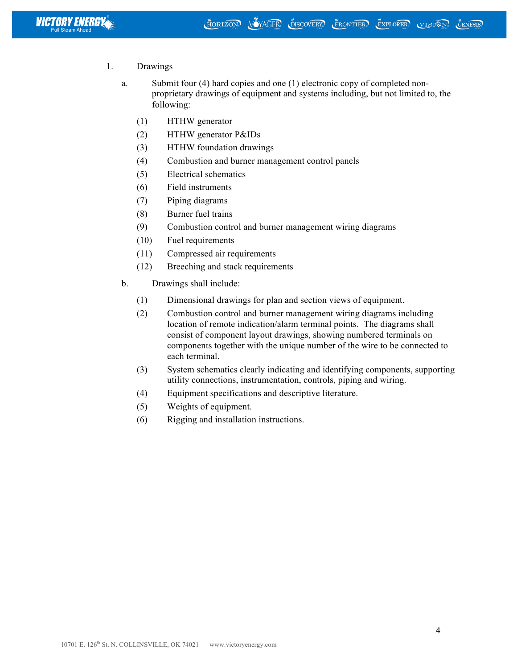

- 1. Drawings
	- a. Submit four (4) hard copies and one (1) electronic copy of completed nonproprietary drawings of equipment and systems including, but not limited to, the following:
		- (1) HTHW generator
		- (2) HTHW generator P&IDs
		- (3) HTHW foundation drawings
		- (4) Combustion and burner management control panels
		- (5) Electrical schematics
		- (6) Field instruments
		- (7) Piping diagrams
		- (8) Burner fuel trains
		- (9) Combustion control and burner management wiring diagrams
		- (10) Fuel requirements
		- (11) Compressed air requirements
		- (12) Breeching and stack requirements
	- b. Drawings shall include:
		- (1) Dimensional drawings for plan and section views of equipment.
		- (2) Combustion control and burner management wiring diagrams including location of remote indication/alarm terminal points. The diagrams shall consist of component layout drawings, showing numbered terminals on components together with the unique number of the wire to be connected to each terminal.
		- (3) System schematics clearly indicating and identifying components, supporting utility connections, instrumentation, controls, piping and wiring.
		- (4) Equipment specifications and descriptive literature.
		- (5) Weights of equipment.
		- (6) Rigging and installation instructions.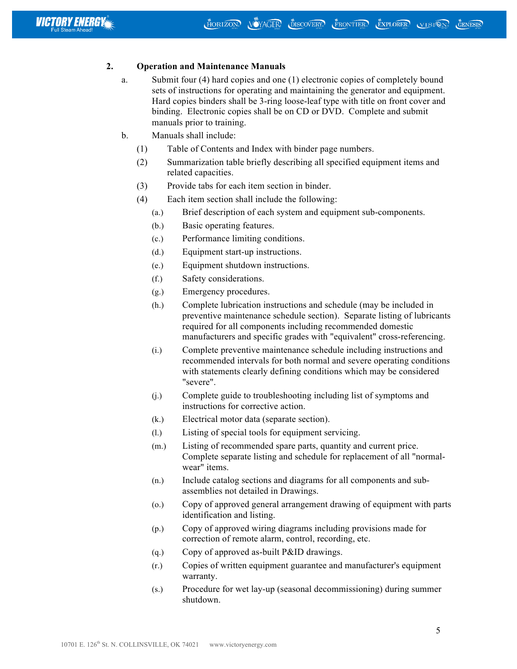

### **2. Operation and Maintenance Manuals**

- a. Submit four (4) hard copies and one (1) electronic copies of completely bound sets of instructions for operating and maintaining the generator and equipment. Hard copies binders shall be 3-ring loose-leaf type with title on front cover and binding. Electronic copies shall be on CD or DVD. Complete and submit manuals prior to training.
- b. Manuals shall include:
	- (1) Table of Contents and Index with binder page numbers.
	- (2) Summarization table briefly describing all specified equipment items and related capacities.
	- (3) Provide tabs for each item section in binder.
	- (4) Each item section shall include the following:
		- (a.) Brief description of each system and equipment sub-components.
		- (b.) Basic operating features.
		- (c.) Performance limiting conditions.
		- (d.) Equipment start-up instructions.
		- (e.) Equipment shutdown instructions.
		- (f.) Safety considerations.
		- (g.) Emergency procedures.
		- (h.) Complete lubrication instructions and schedule (may be included in preventive maintenance schedule section). Separate listing of lubricants required for all components including recommended domestic manufacturers and specific grades with "equivalent" cross-referencing.
		- (i.) Complete preventive maintenance schedule including instructions and recommended intervals for both normal and severe operating conditions with statements clearly defining conditions which may be considered "severe".
		- (j.) Complete guide to troubleshooting including list of symptoms and instructions for corrective action.
		- (k.) Electrical motor data (separate section).
		- (l.) Listing of special tools for equipment servicing.
		- (m.) Listing of recommended spare parts, quantity and current price. Complete separate listing and schedule for replacement of all "normalwear" items.
		- (n.) Include catalog sections and diagrams for all components and subassemblies not detailed in Drawings.
		- (o.) Copy of approved general arrangement drawing of equipment with parts identification and listing.
		- (p.) Copy of approved wiring diagrams including provisions made for correction of remote alarm, control, recording, etc.
		- (q.) Copy of approved as-built P&ID drawings.
		- (r.) Copies of written equipment guarantee and manufacturer's equipment warranty.
		- (s.) Procedure for wet lay-up (seasonal decommissioning) during summer shutdown.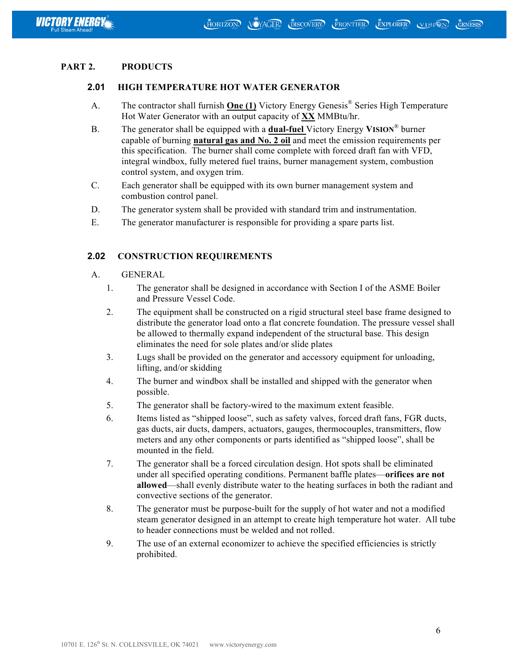

### **PART 2. PRODUCTS**

#### **2.01 HIGH TEMPERATURE HOT WATER GENERATOR**

- A. The contractor shall furnish **One (1)** Victory Energy Genesis® Series High Temperature Hot Water Generator with an output capacity of **XX** MMBtu/hr.
- B. The generator shall be equipped with a **dual-fuel** Victory Energy **VISION**® burner capable of burning **natural gas and No. 2 oil** and meet the emission requirements per this specification. The burner shall come complete with forced draft fan with VFD, integral windbox, fully metered fuel trains, burner management system, combustion control system, and oxygen trim.
- C. Each generator shall be equipped with its own burner management system and combustion control panel.
- D. The generator system shall be provided with standard trim and instrumentation.
- E. The generator manufacturer is responsible for providing a spare parts list.

#### **2.02 CONSTRUCTION REQUIREMENTS**

- A. GENERAL
	- 1. The generator shall be designed in accordance with Section I of the ASME Boiler and Pressure Vessel Code.
	- 2. The equipment shall be constructed on a rigid structural steel base frame designed to distribute the generator load onto a flat concrete foundation. The pressure vessel shall be allowed to thermally expand independent of the structural base. This design eliminates the need for sole plates and/or slide plates
	- 3. Lugs shall be provided on the generator and accessory equipment for unloading, lifting, and/or skidding
	- 4. The burner and windbox shall be installed and shipped with the generator when possible.
	- 5. The generator shall be factory-wired to the maximum extent feasible.
	- 6. Items listed as "shipped loose", such as safety valves, forced draft fans, FGR ducts, gas ducts, air ducts, dampers, actuators, gauges, thermocouples, transmitters, flow meters and any other components or parts identified as "shipped loose", shall be mounted in the field.
	- 7. The generator shall be a forced circulation design. Hot spots shall be eliminated under all specified operating conditions. Permanent baffle plates—**orifices are not allowed**—shall evenly distribute water to the heating surfaces in both the radiant and convective sections of the generator.
	- 8. The generator must be purpose-built for the supply of hot water and not a modified steam generator designed in an attempt to create high temperature hot water. All tube to header connections must be welded and not rolled.
	- 9. The use of an external economizer to achieve the specified efficiencies is strictly prohibited.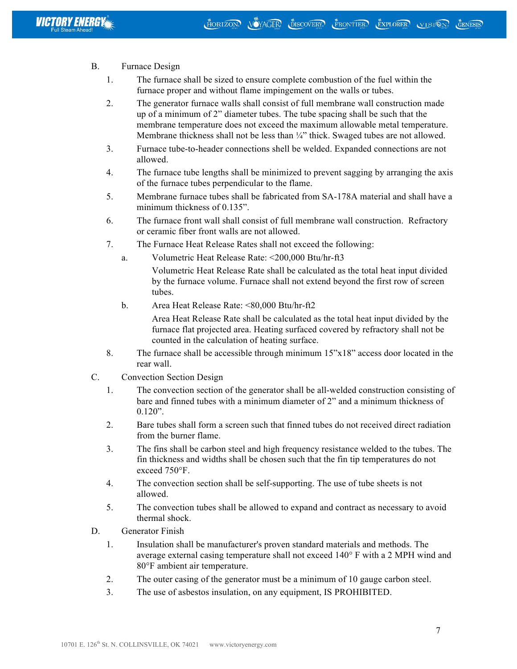- B. Furnace Design
	- 1. The furnace shall be sized to ensure complete combustion of the fuel within the furnace proper and without flame impingement on the walls or tubes.
	- 2. The generator furnace walls shall consist of full membrane wall construction made up of a minimum of 2" diameter tubes. The tube spacing shall be such that the membrane temperature does not exceed the maximum allowable metal temperature. Membrane thickness shall not be less than  $\frac{1}{4}$ " thick. Swaged tubes are not allowed.
	- 3. Furnace tube-to-header connections shell be welded. Expanded connections are not allowed.
	- 4. The furnace tube lengths shall be minimized to prevent sagging by arranging the axis of the furnace tubes perpendicular to the flame.
	- 5. Membrane furnace tubes shall be fabricated from SA-178A material and shall have a minimum thickness of 0.135".
	- 6. The furnace front wall shall consist of full membrane wall construction. Refractory or ceramic fiber front walls are not allowed.
	- 7. The Furnace Heat Release Rates shall not exceed the following:
		- a. Volumetric Heat Release Rate: <200,000 Btu/hr-ft3

Volumetric Heat Release Rate shall be calculated as the total heat input divided by the furnace volume. Furnace shall not extend beyond the first row of screen tubes.

b. Area Heat Release Rate: <80,000 Btu/hr-ft2

Area Heat Release Rate shall be calculated as the total heat input divided by the furnace flat projected area. Heating surfaced covered by refractory shall not be counted in the calculation of heating surface.

- 8. The furnace shall be accessible through minimum 15"x18" access door located in the rear wall.
- C. Convection Section Design
	- 1. The convection section of the generator shall be all-welded construction consisting of bare and finned tubes with a minimum diameter of 2" and a minimum thickness of 0.120".
	- 2. Bare tubes shall form a screen such that finned tubes do not received direct radiation from the burner flame.
	- 3. The fins shall be carbon steel and high frequency resistance welded to the tubes. The fin thickness and widths shall be chosen such that the fin tip temperatures do not exceed 750°F.
	- 4. The convection section shall be self-supporting. The use of tube sheets is not allowed.
	- 5. The convection tubes shall be allowed to expand and contract as necessary to avoid thermal shock.
- D. Generator Finish
	- 1. Insulation shall be manufacturer's proven standard materials and methods. The average external casing temperature shall not exceed 140° F with a 2 MPH wind and 80°F ambient air temperature.
	- 2. The outer casing of the generator must be a minimum of 10 gauge carbon steel.
	- 3. The use of asbestos insulation, on any equipment, IS PROHIBITED.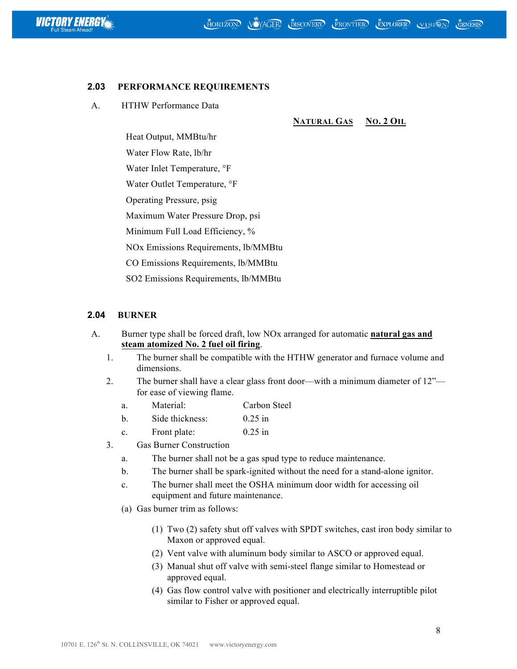

### **2.03 PERFORMANCE REQUIREMENTS**

A. HTHW Performance Data

#### **NATURAL GAS NO. 2 OIL**

Heat Output, MMBtu/hr

Water Flow Rate, lb/hr

Water Inlet Temperature, °F

Water Outlet Temperature, °F

Operating Pressure, psig

Maximum Water Pressure Drop, psi

Minimum Full Load Efficiency, %

NOx Emissions Requirements, lb/MMBtu

CO Emissions Requirements, lb/MMBtu

SO2 Emissions Requirements, lb/MMBtu

## **2.04 BURNER**

- A. Burner type shall be forced draft, low NOx arranged for automatic **natural gas and steam atomized No. 2 fuel oil firing**.
	- 1. The burner shall be compatible with the HTHW generator and furnace volume and dimensions.
	- 2. The burner shall have a clear glass front door—with a minimum diameter of 12" for ease of viewing flame.
		- a. Material: Carbon Steel
		- b. Side thickness: 0.25 in
		- c. Front plate: 0.25 in
	- 3. Gas Burner Construction
		- a. The burner shall not be a gas spud type to reduce maintenance.
		- b. The burner shall be spark-ignited without the need for a stand-alone ignitor.
		- c. The burner shall meet the OSHA minimum door width for accessing oil equipment and future maintenance.
		- (a) Gas burner trim as follows:
			- (1) Two (2) safety shut off valves with SPDT switches, cast iron body similar to Maxon or approved equal.
			- (2) Vent valve with aluminum body similar to ASCO or approved equal.
			- (3) Manual shut off valve with semi-steel flange similar to Homestead or approved equal.
			- (4) Gas flow control valve with positioner and electrically interruptible pilot similar to Fisher or approved equal.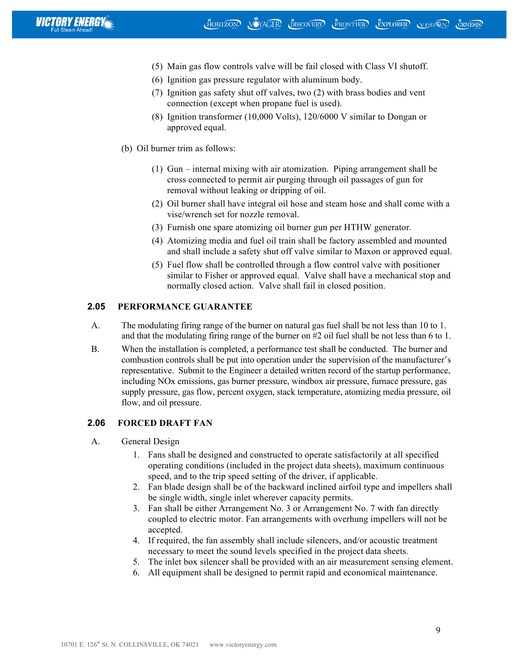

- (5) Main gas flow controls valve will be fail closed with Class VI shutoff.
- (6) Ignition gas pressure regulator with aluminum body.
- (7) Ignition gas safety shut off valves, two (2) with brass bodies and vent connection (except when propane fuel is used).
- (8) Ignition transformer (10,000 Volts), 120/6000 V similar to Dongan or approved equal.
- (b) Oil burner trim as follows:
	- (1) Gun internal mixing with air atomization. Piping arrangement shall be cross connected to permit air purging through oil passages of gun for removal without leaking or dripping of oil.
	- (2) Oil burner shall have integral oil hose and steam hose and shall come with a vise/wrench set for nozzle removal.
	- (3) Furnish one spare atomizing oil burner gun per HTHW generator.
	- (4) Atomizing media and fuel oil train shall be factory assembled and mounted and shall include a safety shut off valve similar to Maxon or approved equal.
	- (5) Fuel flow shall be controlled through a flow control valve with positioner similar to Fisher or approved equal. Valve shall have a mechanical stop and normally closed action. Valve shall fail in closed position.

### **2.05 PERFORMANCE GUARANTEE**

- A. The modulating firing range of the burner on natural gas fuel shall be not less than 10 to 1. and that the modulating firing range of the burner on #2 oil fuel shall be not less than 6 to 1.
- B. When the installation is completed, a performance test shall be conducted. The burner and combustion controls shall be put into operation under the supervision of the manufacturer's representative. Submit to the Engineer a detailed written record of the startup performance, including NOx emissions, gas burner pressure, windbox air pressure, furnace pressure, gas supply pressure, gas flow, percent oxygen, stack temperature, atomizing media pressure, oil flow, and oil pressure.

### **2.06 FORCED DRAFT FAN**

- A. General Design
	- 1. Fans shall be designed and constructed to operate satisfactorily at all specified operating conditions (included in the project data sheets), maximum continuous speed, and to the trip speed setting of the driver, if applicable.
	- 2. Fan blade design shall be of the backward inclined airfoil type and impellers shall be single width, single inlet wherever capacity permits.
	- 3. Fan shall be either Arrangement No. 3 or Arrangement No. 7 with fan directly coupled to electric motor. Fan arrangements with overhung impellers will not be accepted.
	- 4. If required, the fan assembly shall include silencers, and/or acoustic treatment necessary to meet the sound levels specified in the project data sheets.
	- 5. The inlet box silencer shall be provided with an air measurement sensing element.
	- 6. All equipment shall be designed to permit rapid and economical maintenance.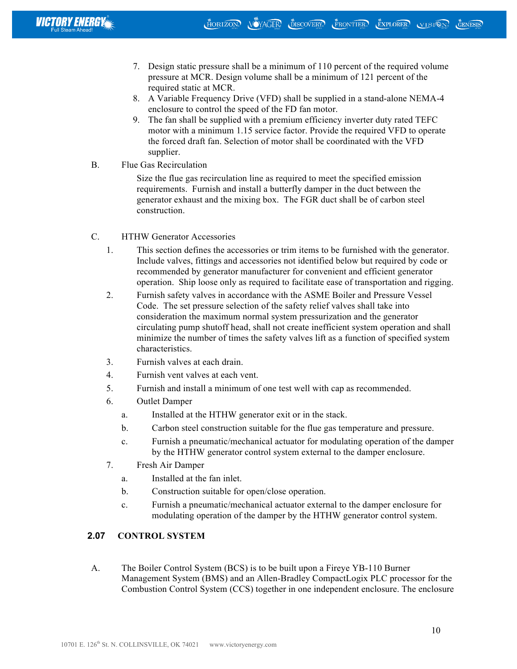- 7. Design static pressure shall be a minimum of 110 percent of the required volume pressure at MCR. Design volume shall be a minimum of 121 percent of the required static at MCR.
- 8. A Variable Frequency Drive (VFD) shall be supplied in a stand-alone NEMA-4 enclosure to control the speed of the FD fan motor.
- 9. The fan shall be supplied with a premium efficiency inverter duty rated TEFC motor with a minimum 1.15 service factor. Provide the required VFD to operate the forced draft fan. Selection of motor shall be coordinated with the VFD supplier.
- B. Flue Gas Recirculation

Size the flue gas recirculation line as required to meet the specified emission requirements. Furnish and install a butterfly damper in the duct between the generator exhaust and the mixing box. The FGR duct shall be of carbon steel construction.

- C. HTHW Generator Accessories
	- 1. This section defines the accessories or trim items to be furnished with the generator. Include valves, fittings and accessories not identified below but required by code or recommended by generator manufacturer for convenient and efficient generator operation. Ship loose only as required to facilitate ease of transportation and rigging.
	- 2. Furnish safety valves in accordance with the ASME Boiler and Pressure Vessel Code. The set pressure selection of the safety relief valves shall take into consideration the maximum normal system pressurization and the generator circulating pump shutoff head, shall not create inefficient system operation and shall minimize the number of times the safety valves lift as a function of specified system characteristics.
	- 3. Furnish valves at each drain.
	- 4. Furnish vent valves at each vent.
	- 5. Furnish and install a minimum of one test well with cap as recommended.
	- 6. Outlet Damper
		- a. Installed at the HTHW generator exit or in the stack.
		- b. Carbon steel construction suitable for the flue gas temperature and pressure.
		- c. Furnish a pneumatic/mechanical actuator for modulating operation of the damper by the HTHW generator control system external to the damper enclosure.
	- 7. Fresh Air Damper
		- a. Installed at the fan inlet.
		- b. Construction suitable for open/close operation.
		- c. Furnish a pneumatic/mechanical actuator external to the damper enclosure for modulating operation of the damper by the HTHW generator control system.

# **2.07 CONTROL SYSTEM**

A. The Boiler Control System (BCS) is to be built upon a Fireye YB-110 Burner Management System (BMS) and an Allen-Bradley CompactLogix PLC processor for the Combustion Control System (CCS) together in one independent enclosure. The enclosure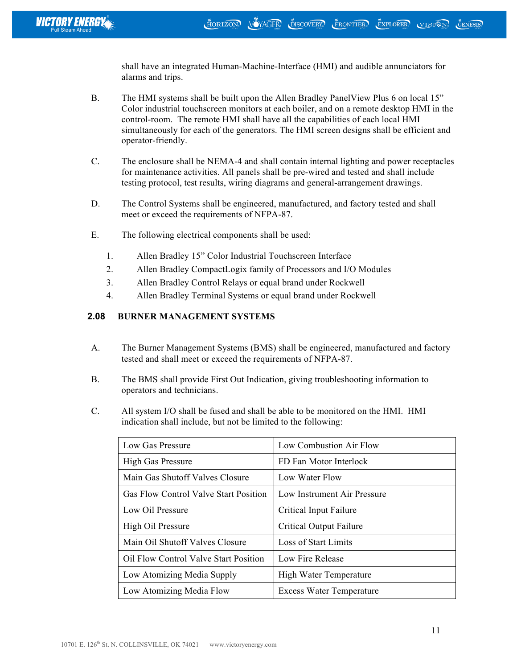shall have an integrated Human-Machine-Interface (HMI) and audible annunciators for alarms and trips.

- B. The HMI systems shall be built upon the Allen Bradley PanelView Plus 6 on local 15" Color industrial touchscreen monitors at each boiler, and on a remote desktop HMI in the control-room. The remote HMI shall have all the capabilities of each local HMI simultaneously for each of the generators. The HMI screen designs shall be efficient and operator-friendly.
- C. The enclosure shall be NEMA-4 and shall contain internal lighting and power receptacles for maintenance activities. All panels shall be pre-wired and tested and shall include testing protocol, test results, wiring diagrams and general-arrangement drawings.
- D. The Control Systems shall be engineered, manufactured, and factory tested and shall meet or exceed the requirements of NFPA-87.
- E. The following electrical components shall be used:
	- 1. Allen Bradley 15" Color Industrial Touchscreen Interface
	- 2. Allen Bradley CompactLogix family of Processors and I/O Modules
	- 3. Allen Bradley Control Relays or equal brand under Rockwell
	- 4. Allen Bradley Terminal Systems or equal brand under Rockwell

# **2.08 BURNER MANAGEMENT SYSTEMS**

- A. The Burner Management Systems (BMS) shall be engineered, manufactured and factory tested and shall meet or exceed the requirements of NFPA-87.
- B. The BMS shall provide First Out Indication, giving troubleshooting information to operators and technicians.
- C. All system I/O shall be fused and shall be able to be monitored on the HMI. HMI indication shall include, but not be limited to the following:

| Low Gas Pressure                             | Low Combustion Air Flow         |
|----------------------------------------------|---------------------------------|
| <b>High Gas Pressure</b>                     | FD Fan Motor Interlock          |
| Main Gas Shutoff Valves Closure              | Low Water Flow                  |
| <b>Gas Flow Control Valve Start Position</b> | Low Instrument Air Pressure     |
| Low Oil Pressure                             | Critical Input Failure          |
| High Oil Pressure                            | Critical Output Failure         |
| Main Oil Shutoff Valves Closure              | Loss of Start Limits            |
| Oil Flow Control Valve Start Position        | Low Fire Release                |
| Low Atomizing Media Supply                   | High Water Temperature          |
| Low Atomizing Media Flow                     | <b>Excess Water Temperature</b> |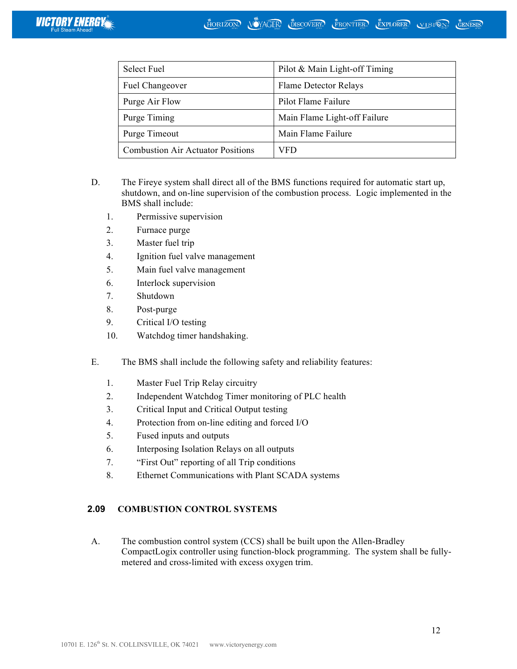| <b>Select Fuel</b>                       | Pilot & Main Light-off Timing |
|------------------------------------------|-------------------------------|
| Fuel Changeover                          | <b>Flame Detector Relays</b>  |
| Purge Air Flow                           | Pilot Flame Failure           |
| Purge Timing                             | Main Flame Light-off Failure  |
| Purge Timeout                            | Main Flame Failure            |
| <b>Combustion Air Actuator Positions</b> | VFD                           |

- D. The Fireye system shall direct all of the BMS functions required for automatic start up, shutdown, and on-line supervision of the combustion process. Logic implemented in the BMS shall include:
	- 1. Permissive supervision
	- 2. Furnace purge
	- 3. Master fuel trip
	- 4. Ignition fuel valve management
	- 5. Main fuel valve management
	- 6. Interlock supervision
	- 7. Shutdown
	- 8. Post-purge
	- 9. Critical I/O testing
	- 10. Watchdog timer handshaking.
- E. The BMS shall include the following safety and reliability features:
	- 1. Master Fuel Trip Relay circuitry
	- 2. Independent Watchdog Timer monitoring of PLC health
	- 3. Critical Input and Critical Output testing
	- 4. Protection from on-line editing and forced I/O
	- 5. Fused inputs and outputs
	- 6. Interposing Isolation Relays on all outputs
	- 7. "First Out" reporting of all Trip conditions
	- 8. Ethernet Communications with Plant SCADA systems

## **2.09 COMBUSTION CONTROL SYSTEMS**

A. The combustion control system (CCS) shall be built upon the Allen-Bradley CompactLogix controller using function-block programming. The system shall be fullymetered and cross-limited with excess oxygen trim.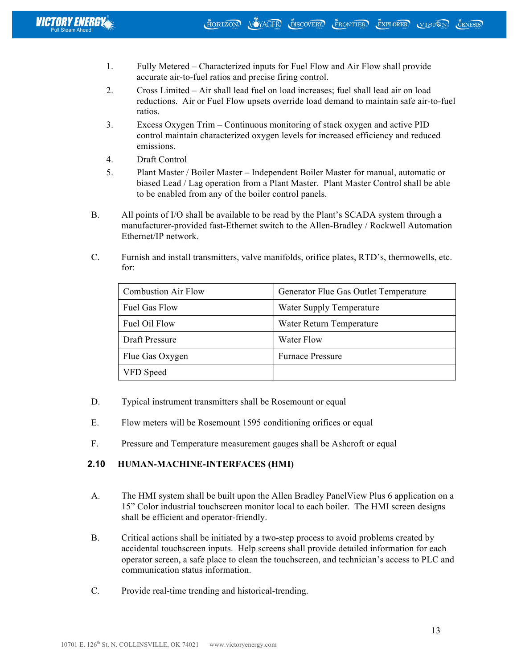- 1. Fully Metered Characterized inputs for Fuel Flow and Air Flow shall provide accurate air-to-fuel ratios and precise firing control.
- 2. Cross Limited Air shall lead fuel on load increases; fuel shall lead air on load reductions. Air or Fuel Flow upsets override load demand to maintain safe air-to-fuel ratios.
- 3. Excess Oxygen Trim Continuous monitoring of stack oxygen and active PID control maintain characterized oxygen levels for increased efficiency and reduced emissions.
- 4. Draft Control
- 5. Plant Master / Boiler Master Independent Boiler Master for manual, automatic or biased Lead / Lag operation from a Plant Master. Plant Master Control shall be able to be enabled from any of the boiler control panels.
- B. All points of I/O shall be available to be read by the Plant's SCADA system through a manufacturer-provided fast-Ethernet switch to the Allen-Bradley / Rockwell Automation Ethernet/IP network.
- C. Furnish and install transmitters, valve manifolds, orifice plates, RTD's, thermowells, etc. for:

| <b>Combustion Air Flow</b> | Generator Flue Gas Outlet Temperature |
|----------------------------|---------------------------------------|
| Fuel Gas Flow              | Water Supply Temperature              |
| Fuel Oil Flow              | Water Return Temperature              |
| Draft Pressure             | Water Flow                            |
| Flue Gas Oxygen            | <b>Furnace Pressure</b>               |
| VFD Speed                  |                                       |

- D. Typical instrument transmitters shall be Rosemount or equal
- E. Flow meters will be Rosemount 1595 conditioning orifices or equal
- F. Pressure and Temperature measurement gauges shall be Ashcroft or equal

# **2.10 HUMAN-MACHINE-INTERFACES (HMI)**

- A. The HMI system shall be built upon the Allen Bradley PanelView Plus 6 application on a 15" Color industrial touchscreen monitor local to each boiler. The HMI screen designs shall be efficient and operator-friendly.
- B. Critical actions shall be initiated by a two-step process to avoid problems created by accidental touchscreen inputs. Help screens shall provide detailed information for each operator screen, a safe place to clean the touchscreen, and technician's access to PLC and communication status information.
- C. Provide real-time trending and historical-trending.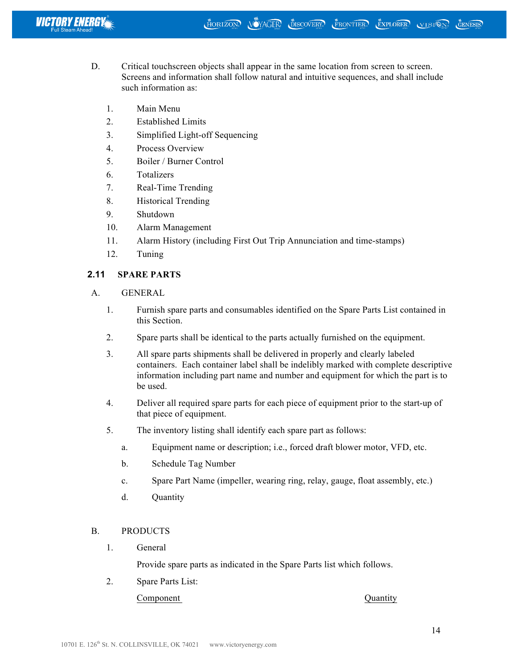

- D. Critical touchscreen objects shall appear in the same location from screen to screen. Screens and information shall follow natural and intuitive sequences, and shall include such information as:
	- 1. Main Menu
	- 2. Established Limits
	- 3. Simplified Light-off Sequencing
	- 4. Process Overview
	- 5. Boiler / Burner Control
	- 6. Totalizers
	- 7. Real-Time Trending
	- 8. Historical Trending
	- 9. Shutdown
	- 10. Alarm Management
	- 11. Alarm History (including First Out Trip Annunciation and time-stamps)
	- 12. Tuning

## **2.11 SPARE PARTS**

- A. GENERAL
	- 1. Furnish spare parts and consumables identified on the Spare Parts List contained in this Section.
	- 2. Spare parts shall be identical to the parts actually furnished on the equipment.
	- 3. All spare parts shipments shall be delivered in properly and clearly labeled containers. Each container label shall be indelibly marked with complete descriptive information including part name and number and equipment for which the part is to be used.
	- 4. Deliver all required spare parts for each piece of equipment prior to the start-up of that piece of equipment.
	- 5. The inventory listing shall identify each spare part as follows:
		- a. Equipment name or description; i.e., forced draft blower motor, VFD, etc.
		- b. Schedule Tag Number
		- c. Spare Part Name (impeller, wearing ring, relay, gauge, float assembly, etc.)
		- d. Quantity

## B. PRODUCTS

1. General

Provide spare parts as indicated in the Spare Parts list which follows.

2. Spare Parts List:

Component Quantity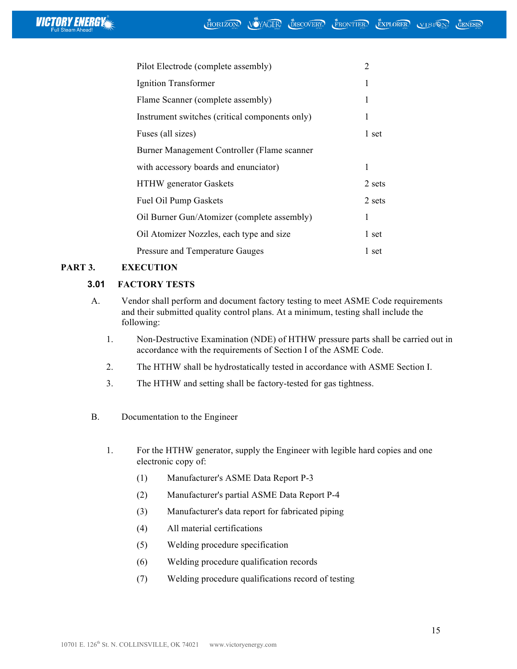

| Pilot Electrode (complete assembly)            | 2      |
|------------------------------------------------|--------|
| Ignition Transformer                           | 1      |
| Flame Scanner (complete assembly)              | 1      |
| Instrument switches (critical components only) | 1      |
| Fuses (all sizes)                              | 1 set  |
| Burner Management Controller (Flame scanner    |        |
| with accessory boards and enunciator)          | 1      |
| <b>HTHW</b> generator Gaskets                  | 2 sets |
| Fuel Oil Pump Gaskets                          | 2 sets |
| Oil Burner Gun/Atomizer (complete assembly)    | 1      |
| Oil Atomizer Nozzles, each type and size       | 1 set  |
| Pressure and Temperature Gauges                | 1 set  |

# **PART 3. EXECUTION**

## **3.01 FACTORY TESTS**

- A. Vendor shall perform and document factory testing to meet ASME Code requirements and their submitted quality control plans. At a minimum, testing shall include the following:
	- 1. Non-Destructive Examination (NDE) of HTHW pressure parts shall be carried out in accordance with the requirements of Section I of the ASME Code.
	- 2. The HTHW shall be hydrostatically tested in accordance with ASME Section I.
	- 3. The HTHW and setting shall be factory-tested for gas tightness.
- B. Documentation to the Engineer
	- 1. For the HTHW generator, supply the Engineer with legible hard copies and one electronic copy of:
		- (1) Manufacturer's ASME Data Report P-3
		- (2) Manufacturer's partial ASME Data Report P-4
		- (3) Manufacturer's data report for fabricated piping
		- (4) All material certifications
		- (5) Welding procedure specification
		- (6) Welding procedure qualification records
		- (7) Welding procedure qualifications record of testing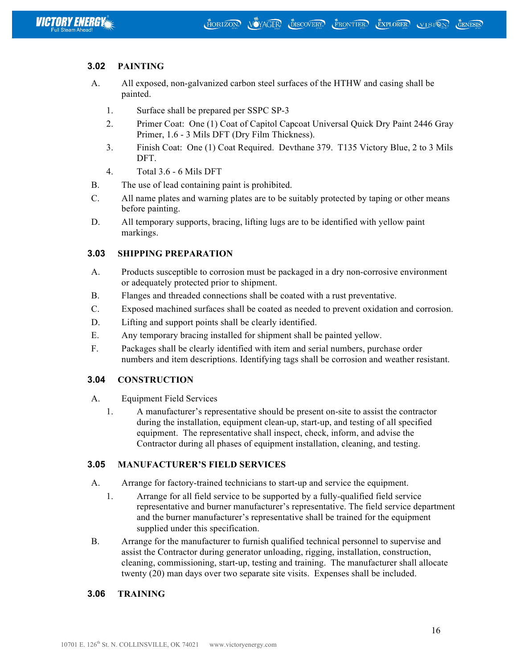

## **3.02 PAINTING**

- A. All exposed, non-galvanized carbon steel surfaces of the HTHW and casing shall be painted.
	- 1. Surface shall be prepared per SSPC SP-3
	- 2. Primer Coat: One (1) Coat of Capitol Capcoat Universal Quick Dry Paint 2446 Gray Primer, 1.6 - 3 Mils DFT (Dry Film Thickness).
	- 3. Finish Coat: One (1) Coat Required. Devthane 379. T135 Victory Blue, 2 to 3 Mils DFT.
	- 4. Total 3.6 6 Mils DFT
- B. The use of lead containing paint is prohibited.
- C. All name plates and warning plates are to be suitably protected by taping or other means before painting.
- D. All temporary supports, bracing, lifting lugs are to be identified with yellow paint markings.

### **3.03 SHIPPING PREPARATION**

- A. Products susceptible to corrosion must be packaged in a dry non-corrosive environment or adequately protected prior to shipment.
- B. Flanges and threaded connections shall be coated with a rust preventative.
- C. Exposed machined surfaces shall be coated as needed to prevent oxidation and corrosion.
- D. Lifting and support points shall be clearly identified.
- E. Any temporary bracing installed for shipment shall be painted yellow.
- F. Packages shall be clearly identified with item and serial numbers, purchase order numbers and item descriptions. Identifying tags shall be corrosion and weather resistant.

### **3.04 CONSTRUCTION**

- A. Equipment Field Services
	- 1. A manufacturer's representative should be present on-site to assist the contractor during the installation, equipment clean-up, start-up, and testing of all specified equipment. The representative shall inspect, check, inform, and advise the Contractor during all phases of equipment installation, cleaning, and testing.

### **3.05 MANUFACTURER'S FIELD SERVICES**

- A. Arrange for factory-trained technicians to start-up and service the equipment.
	- 1. Arrange for all field service to be supported by a fully-qualified field service representative and burner manufacturer's representative. The field service department and the burner manufacturer's representative shall be trained for the equipment supplied under this specification.
- B. Arrange for the manufacturer to furnish qualified technical personnel to supervise and assist the Contractor during generator unloading, rigging, installation, construction, cleaning, commissioning, start-up, testing and training. The manufacturer shall allocate twenty (20) man days over two separate site visits. Expenses shall be included.

### **3.06 TRAINING**